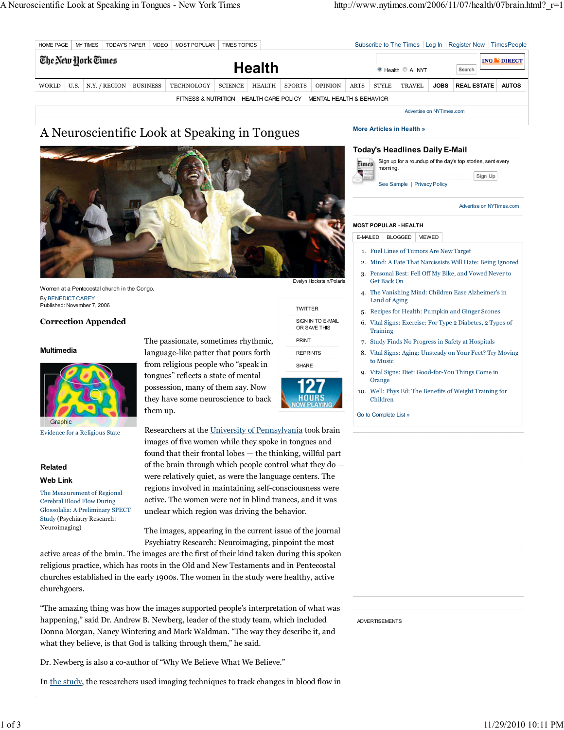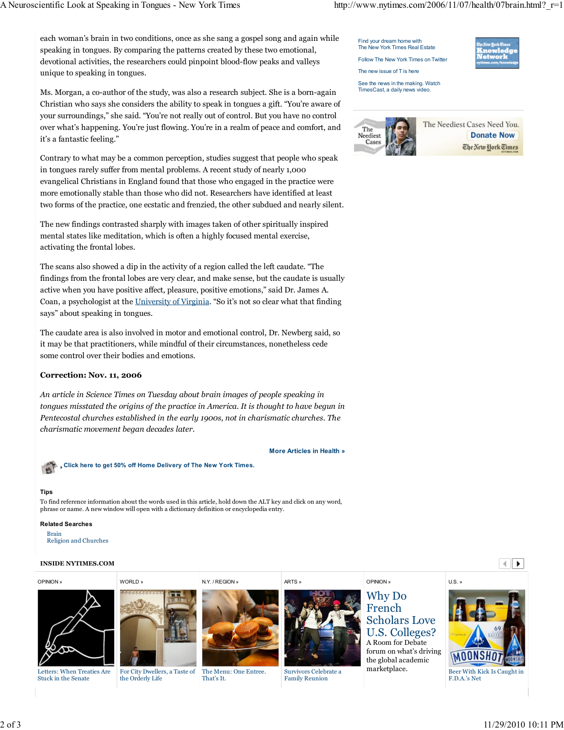each woman's brain in two conditions, once as she sang a gospel song and again while speaking in tongues. By comparing the patterns created by these two emotional, devotional activities, the researchers could pinpoint blood-flow peaks and valleys unique to speaking in tongues.

Ms. Morgan, a co-author of the study, was also a research subject. She is a born-again Christian who says she considers the ability to speak in tongues a gift. "You're aware of your surroundings," she said. "You're not really out of control. But you have no control over what's happening. You're just flowing. You're in a realm of peace and comfort, and it's a fantastic feeling."

Contrary to what may be a common perception, studies suggest that people who speak in tongues rarely suffer from mental problems. A recent study of nearly 1,000 evangelical Christians in England found that those who engaged in the practice were more emotionally stable than those who did not. Researchers have identified at least two forms of the practice, one ecstatic and frenzied, the other subdued and nearly silent.

The new findings contrasted sharply with images taken of other spiritually inspired mental states like meditation, which is often a highly focused mental exercise, activating the frontal lobes.

The scans also showed a dip in the activity of a region called the left caudate. "The findings from the frontal lobes are very clear, and make sense, but the caudate is usually active when you have positive affect, pleasure, positive emotions," said Dr. James A. Coan, a psychologist at the University of Virginia. "So it's not so clear what that finding says" about speaking in tongues.

The caudate area is also involved in motor and emotional control, Dr. Newberg said, so it may be that practitioners, while mindful of their circumstances, nonetheless cede some control over their bodies and emotions.

## Correction: Nov. 11, 2006

An article in Science Times on Tuesday about brain images of people speaking in tongues misstated the origins of the practice in America. It is thought to have begun in Pentecostal churches established in the early 1900s, not in charismatic churches. The charismatic movement began decades later.

More Articles in Health »



Click here to get 50% off Home Delivery of The New York Times.

## Tips

To find reference information about the words used in this article, hold down the ALT key and click on any word, phrase or name. A new window will open with a dictionary definition or encyclopedia entry.

Related Searches

Brain Religion and Churches

## INSIDE NYTIMES.COM

Letters: When Treaties Are Stuck in the Senate



WORLD »

For City Dwellers, a Taste of the Orderly Life

N.Y. / REGION »

The Menu: One Entree.

That's It.

ARTS »



OPINION » Why Do French

Scholars Love U.S. Colleges? A Room for Debate forum on what's driving the global academic marketplace.

Survivors Celebrate a Family Reunion